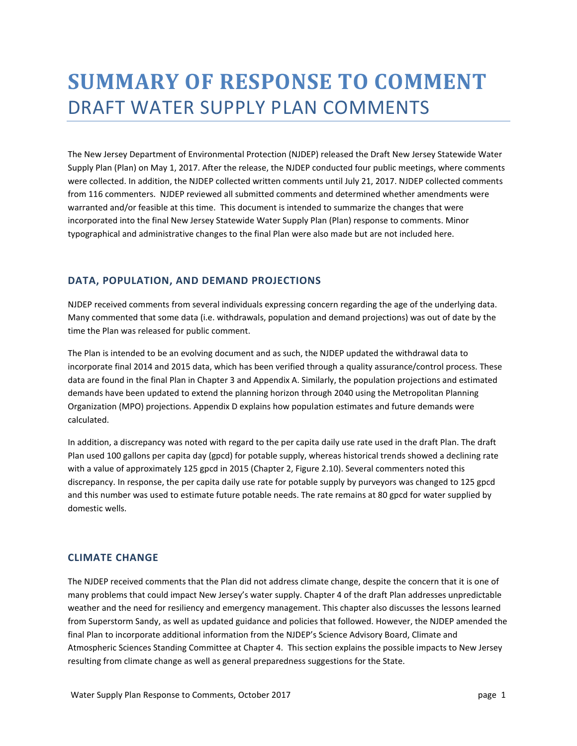# **SUMMARY OF RESPONSE TO COMMENT** DRAFT WATER SUPPLY PLAN COMMENTS

The New Jersey Department of Environmental Protection (NJDEP) released the Draft New Jersey Statewide Water Supply Plan (Plan) on May 1, 2017. After the release, the NJDEP conducted four public meetings, where comments were collected. In addition, the NJDEP collected written comments until July 21, 2017. NJDEP collected comments from 116 commenters. NJDEP reviewed all submitted comments and determined whether amendments were warranted and/or feasible at this time. This document is intended to summarize the changes that were incorporated into the final New Jersey Statewide Water Supply Plan (Plan) response to comments. Minor typographical and administrative changes to the final Plan were also made but are not included here.

# **DATA, POPULATION, AND DEMAND PROJECTIONS**

NJDEP received comments from several individuals expressing concern regarding the age of the underlying data. Many commented that some data (i.e. withdrawals, population and demand projections) was out of date by the time the Plan was released for public comment.

The Plan is intended to be an evolving document and as such, the NJDEP updated the withdrawal data to incorporate final 2014 and 2015 data, which has been verified through a quality assurance/control process. These data are found in the final Plan in Chapter 3 and Appendix A. Similarly, the population projections and estimated demands have been updated to extend the planning horizon through 2040 using the Metropolitan Planning Organization (MPO) projections. Appendix D explains how population estimates and future demands were calculated.

In addition, a discrepancy was noted with regard to the per capita daily use rate used in the draft Plan. The draft Plan used 100 gallons per capita day (gpcd) for potable supply, whereas historical trends showed a declining rate with a value of approximately 125 gpcd in 2015 (Chapter 2, Figure 2.10). Several commenters noted this discrepancy. In response, the per capita daily use rate for potable supply by purveyors was changed to 125 gpcd and this number was used to estimate future potable needs. The rate remains at 80 gpcd for water supplied by domestic wells.

#### **CLIMATE CHANGE**

The NJDEP received comments that the Plan did not address climate change, despite the concern that it is one of many problems that could impact New Jersey's water supply. Chapter 4 of the draft Plan addresses unpredictable weather and the need for resiliency and emergency management. This chapter also discusses the lessons learned from Superstorm Sandy, as well as updated guidance and policies that followed. However, the NJDEP amended the final Plan to incorporate additional information from the NJDEP's Science Advisory Board, Climate and Atmospheric Sciences Standing Committee at Chapter 4. This section explains the possible impacts to New Jersey resulting from climate change as well as general preparedness suggestions for the State.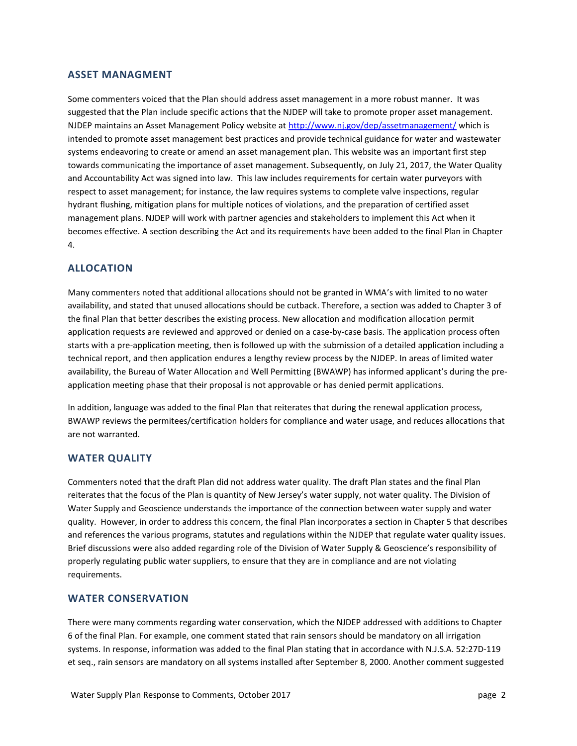# **ASSET MANAGMENT**

Some commenters voiced that the Plan should address asset management in a more robust manner. It was suggested that the Plan include specific actions that the NJDEP will take to promote proper asset management. NJDEP maintains an Asset Management Policy website at<http://www.nj.gov/dep/assetmanagement/> which is intended to promote asset management best practices and provide technical guidance for water and wastewater systems endeavoring to create or amend an asset management plan. This website was an important first step towards communicating the importance of asset management. Subsequently, on July 21, 2017, the Water Quality and Accountability Act was signed into law. This law includes requirements for certain water purveyors with respect to asset management; for instance, the law requires systems to complete valve inspections, regular hydrant flushing, mitigation plans for multiple notices of violations, and the preparation of certified asset management plans. NJDEP will work with partner agencies and stakeholders to implement this Act when it becomes effective. A section describing the Act and its requirements have been added to the final Plan in Chapter 4.

# **ALLOCATION**

Many commenters noted that additional allocations should not be granted in WMA's with limited to no water availability, and stated that unused allocations should be cutback. Therefore, a section was added to Chapter 3 of the final Plan that better describes the existing process. New allocation and modification allocation permit application requests are reviewed and approved or denied on a case-by-case basis. The application process often starts with a pre-application meeting, then is followed up with the submission of a detailed application including a technical report, and then application endures a lengthy review process by the NJDEP. In areas of limited water availability, the Bureau of Water Allocation and Well Permitting (BWAWP) has informed applicant's during the preapplication meeting phase that their proposal is not approvable or has denied permit applications.

In addition, language was added to the final Plan that reiterates that during the renewal application process, BWAWP reviews the permitees/certification holders for compliance and water usage, and reduces allocations that are not warranted.

#### **WATER QUALITY**

Commenters noted that the draft Plan did not address water quality. The draft Plan states and the final Plan reiterates that the focus of the Plan is quantity of New Jersey's water supply, not water quality. The Division of Water Supply and Geoscience understands the importance of the connection between water supply and water quality. However, in order to address this concern, the final Plan incorporates a section in Chapter 5 that describes and references the various programs, statutes and regulations within the NJDEP that regulate water quality issues. Brief discussions were also added regarding role of the Division of Water Supply & Geoscience's responsibility of properly regulating public water suppliers, to ensure that they are in compliance and are not violating requirements.

## **WATER CONSERVATION**

There were many comments regarding water conservation, which the NJDEP addressed with additions to Chapter 6 of the final Plan. For example, one comment stated that rain sensors should be mandatory on all irrigation systems. In response, information was added to the final Plan stating that in accordance with N.J.S.A. 52:27D-119 et seq., rain sensors are mandatory on all systems installed after September 8, 2000. Another comment suggested